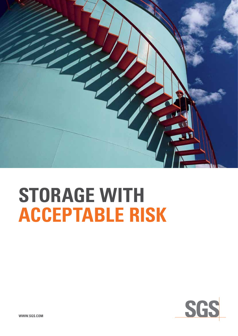

# **STORAGE WITH ACCEPTABLE RISK**

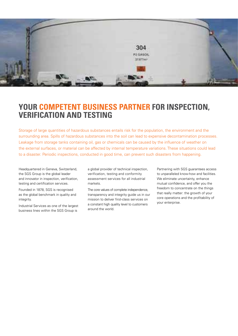

### **YOUR COMPETENT BUSINESS PARTNER FOR INSPECTION, VERIFICATION AND TESTING**

Storage of large quantities of hazardous substances entails risk for the population, the environment and the surrounding area. Spills of hazardous substances into the soil can lead to expensive decontamination processes. Leakage from storage tanks containing oil, gas or chemicals can be caused by the influence of weather on the external surfaces, or material can be affected by internal temperature variations. These situations could lead to a disaster. Periodic inspections, conducted in good time, can prevent such disasters from happening.

Headquartered in Geneva, Switzerland, the SGS Group is the global leader and innovator in inspection, verification, testing and certification services.

Founded in 1878, SGS is recognised as the global benchmark in quality and integrity.

Industrial Services as one of the largest business lines within the SGS Group is

a global provider of technical inspection, verification, testing and conformity assessment services for all industrial markets.

The core values of complete independence, transparency and integrity guide us in our mission to deliver first-class services on a constant high quality level to customers around the world.

Partnering with SGS guarantees access to unparalleled know-how and facilities. We eliminate uncertainty, enhance mutual confidence, and offer you the freedom to concentrate on the things that really matter: the growth of your core operations and the profitability of your enterprise.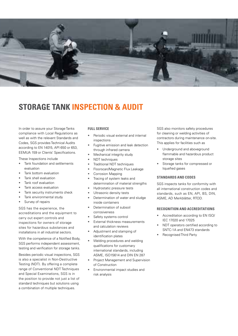

### **STORAGE TANK INSPECTION & AUDIT**

In order to assure your Storage Tanks compliance with Local Regulations as well as with the relevant Standards and Codes, SGS provides Technical Audits according to EN 14015, API 650 or 653, EEMUA 159 or Clients' Specifications.

These Inspections include

- Tank foundation and settlements evaluation
- Tank bottom evaluation
- Tank shell evaluation
- Tank roof evaluation
- Tank access evaluation
- Tank security instruments check
- Tank environmental study
- Survey of repairs

SGS has the experience, the accreditations and the equipment to carry out expert controls and inspections for owners of storage sites for hazardous substances and installations in all industrial sectors.

With the competence of a Notified Body, SGS performs independent assessment, testing and verification for storage tanks.

Besides periodic visual inspections, SGS is also a specialist in Non-Destructive Testing (NDT). By offering a complete range of Conventional NDT Techniques and Special Examinations, SGS is in the position to provide not just a list of standard techniques but solutions using a combination of multiple techniques.

#### **Full Service**

- Periodic visual external and internal inspections
- Fugitive emission and leak detection through infrared camera
- Mechanical integrity study
- NDT techniques
- Traditional NDT techniques
- Floorscan/Magnetic Flux Leakage
- Corrosion Mapping
- Tracing of system leaks and determination of material strengths
- Hydrostatic pressure tests
- Ultrasonic density tests
- Determination of water and sludge inside containers
- Determination of subsoil corrosiveness
- Safety systems control
- External thickness measurements and calculation reviews
- Adjustment and stamping of identification plates
- Welding procedures and welding qualifications for customary international standards, including ASME, ISO15614 and DIN EN 287
- Project Management and Supervision of Construction
- Environmental impact studies and risk analysis

SGS also monitors safety procedures for cleaning or welding activities of contractors during maintenance on-site. This applies for facilities such as

- Underground and aboveground flammable and hazardous product storage sites
- Storage tanks for compressed or liquefied gases

#### **Standards and Codes**

SGS inspects tanks for conformity with all international construction codes and standards, such as EN, API, BS, DIN, ASME, AD Merkblätter, RTOD.

#### **Recognition and accreditations**

- Accreditation according to EN ISO/ IEC 17020 and 17025
- NDT operators certified according to SNTC-1A and EN473 standards
- **Recognised Third Party**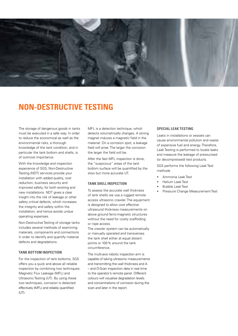

### **NON-DESTRUCTIVE TESTING**

The storage of dangerous goods in tanks must be executed in a safe way. In order to reduce the economical as well as the environmental risks, a thorough knowledge of the tank condition, and in particular the tank bottom and shells, is of outmost importance.

With the knowledge and inspection experience of SGS, Non-Destructive Testing (NDT) services provide your installation with added quality, cost reduction, business security and improved safety, for both existing and new installations. NDT gives a clear insight into the risk of leakage or other safety critical defects, which increases the integrity and safety within the installation, and hence avoids undue operating expenses.

Non-Destructive Testing of storage tanks includes several methods of examining materials, components and connections in order to identify and quantify material defects and degradations.

#### **Tank Bottom Inspection**

For the inspection of tank bottoms, SGS offers you a quick and above all reliable inspection by combining two techniques: Magnetic Flux Leakage (MFL) and Ultrasonic Testing (UT). By using these two techniques, corrosion is detected effectively (MFL) and reliably quantified  $(UT)$ .

MFL is a detection technique, which detects volumetrically changes. A strong magnet induces a magnetic field in the material. On a corrosion spot, a leakage field will arise. The larger the corrosion the larger the field will be.

After the fast MFL inspection is done, the "suspicious" areas of the tank bottom surface will be quantified by the slow but more accurate UT.

#### **Tank Shell Inspection**

To assess the accurate wall thickness of tank shells we use a rugged remote access ultrasonic crawler. The equipment is designed to allow cost effective ultrasound thickness measurements on above ground ferro-magnetic structures without the need for costly scaffolding or rope access.

The crawler system can be automatically or manually operated and transverses the tank shell either at equal distant points or 100% around the tank circumference.

The multi-axis robotic inspection arm is capable of taking ultrasonic measurements and transmitting the wall thickness and A – and D-Scan inspection data in real time to the operator's remote panel. Different colours will visualise degradation levels and concentrations of corrosion during the scan and later in the report.

#### **Special Leak Testing**

Leaks in installations or vessels can cause environmental pollution and waste of expensive fuel and energy. Therefore, Leak Testing is performed to locate leaks and measure the leakage of pressurised (or decompressed) test products.

SGS performs the following Leak Test methods

- Ammonia Leak Test
- **Helium Leak Test**
- **Bubble Leak Test**
- Pressure Change Measurement Test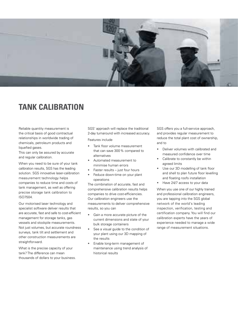

### **TANK CALIBRATION**

Reliable quantity measurement is the critical basis of good contractual relationships in worldwide trading of chemicals, petroleum products and liquefied gases.

This can only be assured by accurate and regular calibration.

When you need to be sure of your tank calibration results, SGS has the leading solution. SGS innovative laser-calibration measurement technology helps companies to reduce time and costs of tank management, as well as offering precise storage tank calibration to ISO7504.

Our motorised laser technology and specialist software deliver results that are accurate, fast and safe to cost-efficient management for storage tanks, gas vessels and stockpile measurements. Not just volumes, but accurate roundness surveys, tank tilt and settlement and other construction measurements are straightforward.

What is the precise capacity of your tank? The difference can mean thousands of dollars to your business. SGS' approach will replace the traditional 2-day turnaround with increased accuracy.

Features include

- Tank floor volume measurement that can save 300% compared to alternatives
- Automated measurement to minimise human errors
- Faster results  $-$  just four hours
- Feduce down-time on your plant operations

The combination of accurate, fast and comprehensive calibration results helps companies to drive cost-efficiencies. Our calibration engineers use the measurements to deliver comprehensive results, so you can

- Gain a more accurate picture of the current dimensions and state of your bulk storage containers
- • See a visual guide to the condition of your plant using our 3D mapping of the results
- Enable long-term management of maintenance using trend analysis of historical results

SGS offers you a full-service approach, and provides regular measurement to reduce the total plant cost of ownership, and to

- • Deliver volumes with calibrated and measured confidence over time
- Calibrate to constantly be within agreed limits
- Use our 3D modelling of tank floor and shell to plan future floor levelling and floating roofs installation
- Have 24/7 access to your data

When you use one of our highly trained and professional calibration engineers, you are tapping into the SGS global network of the world's leading inspection, verification, testing and certification company. You will find our calibration experts have the years of experience needed to manage a wide range of measurement situations.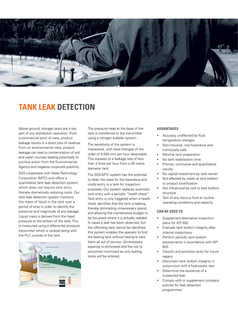

### **Tank Leak Detection**

Above ground, storage tanks are a key part of any distribution operation. From a commercial point of view, product leakage results in a direct loss of revenue. From an environmental view, product leakage can lead to contamination of soil and water courses leading potentially to punitive action from the Environmental Agency and negative corporate publicity.

SGS cooperates with Mass Technology Corporation (MTC) and offers a quantitative tank leak detection system, which does not require tank entry thereby dramatically reducing costs. Our tank leak detection system monitors the mass of liquid in the tank over a period of time in order to identify the presence and magnitude of any leakage. Liquid mass is derived from the head pressure at the bottom of the tank. This is measured using a differential pressure transmitter which is located along with the PLC outside of the tank.



The pressure head at the base of the tank is transferred to the transmitter using a nitrogen bubbler system.

The sensitivity of the system is impressive, with level changes of the order of 0.004 mm per hour detectable. This equates to a leakage rate of less than 3 litres per hour from a 30 metre diameter tank.

The SGS-MTC system has the potential to defer the need for the hazardous and costly entry to a tank for inspection purposes. Our system replaces automatic tank entry with a periodic "health check". Tank entry is only triggered when a health check identifies that the tank is leaking, thereby eliminating unnecessary spend, and allowing the maintenance budget to be focussed where it is actually needed. In cases a leak has been observed, but the offending tank cannot be identified, this system enables the operator to find the leaking tank without having to take them all out of service. Unnecessary expense is eliminated and the risk to personnel minimised as only leaking tanks will be entered.

#### **ADVANTAGES**

- Accuracy unaffected by fluid temperature changes
- • Non-intrusive, non-hazardous and intrinsically safe
- Minimal tank preparation
- No tank stabilisation time
- Prompt, conclusive and quantitative results
- No capital investment by tank owner
- Not affected by water at tank bottom or product stratification
- Not influenced by roof or tank bottom structure
- Test of any viscous fluid at routine operating conditions and capacity

#### **CAN BE USED TO**

- Supplement alternative inspection plans for API 653
- Evaluate tank bottom integrity after internal inspections
- Perform periodic tank bottom assessments in accordance with API 653
- Classify and prioritise tanks for future repairs
- Document tank bottom integrity in conjunction with a hydrostatic test
- Determine the existence of a suspected leak
- Comply with or supplement company policies for leak detection programmes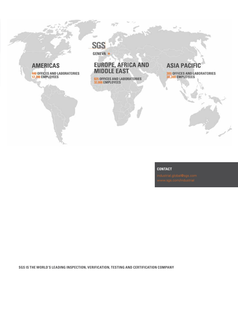### **AMERICAS**

440 OFFICES AND LABORATORIES<br>17,700 EMPLOYEES

### **SGS** GENEVA \*

## EUROPE, AFRICA AND<br>MIDDLE EAST

巡

825 OFFICES AND LABORATORIES<br>32,000 EMPLOYEES

### **ASIA PACIFIC**

385 OFFICES AND LABORATORIES<br>30,300 EMPLOYEES

#### **Contact**

**SGS is the world's leading inspection, verification, testing and certification company**